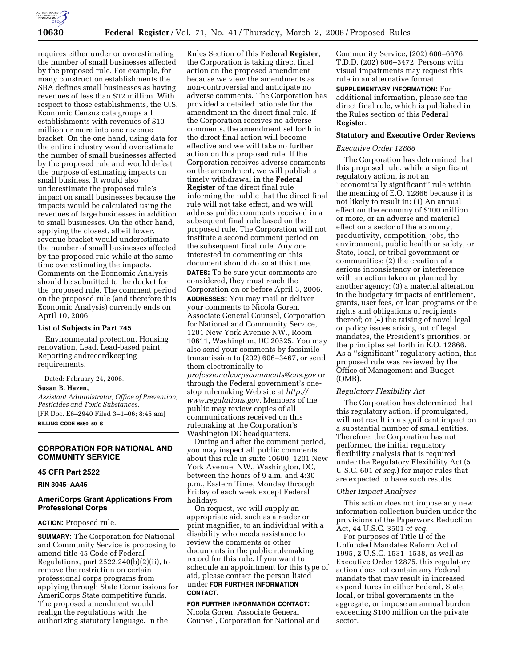

requires either under or overestimating the number of small businesses affected by the proposed rule. For example, for many construction establishments the SBA defines small businesses as having revenues of less than \$12 million. With respect to those establishments, the U.S. Economic Census data groups all establishments with revenues of \$10 million or more into one revenue bracket. On the one hand, using data for the entire industry would overestimate the number of small businesses affected by the proposed rule and would defeat the purpose of estimating impacts on small business. It would also underestimate the proposed rule's impact on small businesses because the impacts would be calculated using the revenues of large businesses in addition to small businesses. On the other hand, applying the closest, albeit lower, revenue bracket would underestimate the number of small businesses affected by the proposed rule while at the same time overestimating the impacts. Comments on the Economic Analysis should be submitted to the docket for the proposed rule. The comment period on the proposed rule (and therefore this Economic Analysis) currently ends on April 10, 2006.

## **List of Subjects in Part 745**

Environmental protection, Housing renovation, Lead, Lead-based paint, Reporting andrecordkeeping requirements.

Dated: February 24, 2006. **Susan B. Hazen,**  *Assistant Administrator, Office of Prevention, Pesticides and Toxic Substances.*  [FR Doc. E6–2940 Filed 3–1–06; 8:45 am] **BILLING CODE 6560–50–S** 

# **CORPORATION FOR NATIONAL AND COMMUNITY SERVICE**

# **45 CFR Part 2522**

**RIN 3045–AA46** 

# **AmeriCorps Grant Applications From Professional Corps**

#### **ACTION:** Proposed rule.

**SUMMARY:** The Corporation for National and Community Service is proposing to amend title 45 Code of Federal Regulations, part 2522.240(b)(2)(ii), to remove the restriction on certain professional corps programs from applying through State Commissions for AmeriCorps State competitive funds. The proposed amendment would realign the regulations with the authorizing statutory language. In the

Rules Section of this **Federal Register**, the Corporation is taking direct final action on the proposed amendment because we view the amendments as non-controversial and anticipate no adverse comments. The Corporation has provided a detailed rationale for the amendment in the direct final rule. If the Corporation receives no adverse comments, the amendment set forth in the direct final action will become effective and we will take no further action on this proposed rule. If the Corporation receives adverse comments on the amendment, we will publish a timely withdrawal in the **Federal Register** of the direct final rule informing the public that the direct final rule will not take effect, and we will address public comments received in a subsequent final rule based on the proposed rule. The Corporation will not institute a second comment period on the subsequent final rule. Any one interested in commenting on this document should do so at this time. **DATES:** To be sure your comments are considered, they must reach the Corporation on or before April 3, 2006. **ADDRESSES:** You may mail or deliver your comments to Nicola Goren, Associate General Counsel, Corporation for National and Community Service, 1201 New York Avenue NW., Room 10611, Washington, DC 20525. You may also send your comments by facsimile transmission to (202) 606–3467, or send them electronically to *professionalcorpscomments@cns.gov* or through the Federal government's onestop rulemaking Web site at *http:// www.regulations.gov*. Members of the public may review copies of all communications received on this rulemaking at the Corporation's

Washington DC headquarters. During and after the comment period, you may inspect all public comments about this rule in suite 10600, 1201 New York Avenue, NW., Washington, DC, between the hours of 9 a.m. and 4:30 p.m., Eastern Time, Monday through Friday of each week except Federal holidays.

On request, we will supply an appropriate aid, such as a reader or print magnifier, to an individual with a disability who needs assistance to review the comments or other documents in the public rulemaking record for this rule. If you want to schedule an appointment for this type of aid, please contact the person listed under **FOR FURTHER INFORMATION CONTACT.** 

## **FOR FURTHER INFORMATION CONTACT:**

Nicola Goren, Associate General Counsel, Corporation for National and Community Service, (202) 606–6676. T.D.D. (202) 606–3472. Persons with visual impairments may request this rule in an alternative format.

**SUPPLEMENTARY INFORMATION:** For additional information, please see the direct final rule, which is published in the Rules section of this **Federal Register**.

#### **Statutory and Executive Order Reviews**

## *Executive Order 12866*

The Corporation has determined that this proposed rule, while a significant regulatory action, is not an ''economically significant'' rule within the meaning of E.O. 12866 because it is not likely to result in: (1) An annual effect on the economy of \$100 million or more, or an adverse and material effect on a sector of the economy, productivity, competition, jobs, the environment, public health or safety, or State, local, or tribal government or communities; (2) the creation of a serious inconsistency or interference with an action taken or planned by another agency; (3) a material alteration in the budgetary impacts of entitlement, grants, user fees, or loan programs or the rights and obligations of recipients thereof; or (4) the raising of novel legal or policy issues arising out of legal mandates, the President's priorities, or the principles set forth in E.O. 12866. As a ''significant'' regulatory action, this proposed rule was reviewed by the Office of Management and Budget (OMB).

#### *Regulatory Flexibility Act*

The Corporation has determined that this regulatory action, if promulgated, will not result in a significant impact on a substantial number of small entities. Therefore, the Corporation has not performed the initial regulatory flexibility analysis that is required under the Regulatory Flexibility Act (5 U.S.C. 601 *et seq.*) for major rules that are expected to have such results.

#### *Other Impact Analyses*

This action does not impose any new information collection burden under the provisions of the Paperwork Reduction Act, 44 U.S.C. 3501 *et seq.* 

For purposes of Title II of the Unfunded Mandates Reform Act of 1995, 2 U.S.C. 1531–1538, as well as Executive Order 12875, this regulatory action does not contain any Federal mandate that may result in increased expenditures in either Federal, State, local, or tribal governments in the aggregate, or impose an annual burden exceeding \$100 million on the private sector.